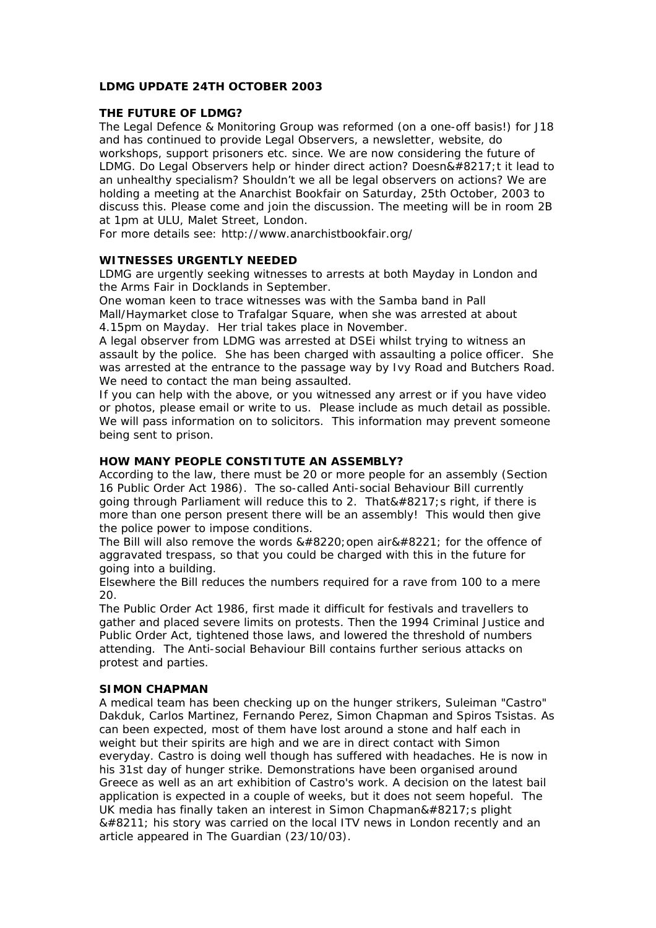# **LDMG UPDATE 24TH OCTOBER 2003**

# **THE FUTURE OF LDMG?**

The Legal Defence & Monitoring Group was reformed (on a one-off basis!) for J18 and has continued to provide Legal Observers, a newsletter, website, do workshops, support prisoners etc. since. We are now considering the future of LDMG. Do Legal Observers help or hinder direct action? Doesn $&\#8217$ : t it lead to an unhealthy specialism? Shouldn't we all be legal observers on actions? We are holding a meeting at the Anarchist Bookfair on Saturday, 25th October, 2003 to discuss this. Please come and join the discussion. The meeting will be in room 2B at 1pm at ULU, Malet Street, London.

For more details see: http://www.anarchistbookfair.org/

# **WITNESSES URGENTLY NEEDED**

LDMG are urgently seeking witnesses to arrests at both Mayday in London and the Arms Fair in Docklands in September.

One woman keen to trace witnesses was with the Samba band in Pall Mall/Haymarket close to Trafalgar Square, when she was arrested at about 4.15pm on Mayday. Her trial takes place in November.

A legal observer from LDMG was arrested at DSEi whilst trying to witness an assault by the police. She has been charged with assaulting a police officer. She was arrested at the entrance to the passage way by Ivy Road and Butchers Road. We need to contact the man being assaulted.

If you can help with the above, or you witnessed any arrest or if you have video or photos, please email or write to us. Please include as much detail as possible. We will pass information on to solicitors. This information may prevent someone being sent to prison.

# **HOW MANY PEOPLE CONSTITUTE AN ASSEMBLY?**

According to the law, there must be 20 or more people for an assembly (Section 16 Public Order Act 1986). The so-called Anti-social Behaviour Bill currently going through Parliament will reduce this to 2. That  $&\#8217$ ; s right, if there is more than one person present there will be an assembly! This would then give the police power to impose conditions.

The Bill will also remove the words  $&\#8220$ ; open air $&\#8221$ ; for the offence of aggravated trespass, so that you could be charged with this in the future for going into a building.

Elsewhere the Bill reduces the numbers required for a rave from 100 to a mere  $20<sub>0</sub>$ 

The Public Order Act 1986, first made it difficult for festivals and travellers to gather and placed severe limits on protests. Then the 1994 Criminal Justice and Public Order Act, tightened those laws, and lowered the threshold of numbers attending. The Anti-social Behaviour Bill contains further serious attacks on protest and parties.

#### **SIMON CHAPMAN**

A medical team has been checking up on the hunger strikers, Suleiman "Castro" Dakduk, Carlos Martinez, Fernando Perez, Simon Chapman and Spiros Tsistas. As can been expected, most of them have lost around a stone and half each in weight but their spirits are high and we are in direct contact with Simon everyday. Castro is doing well though has suffered with headaches. He is now in his 31st day of hunger strike. Demonstrations have been organised around Greece as well as an art exhibition of Castro's work. A decision on the latest bail application is expected in a couple of weeks, but it does not seem hopeful. The UK media has finally taken an interest in Simon Chapman& $#8217$ ; s plight – his story was carried on the local ITV news in London recently and an article appeared in The Guardian (23/10/03).